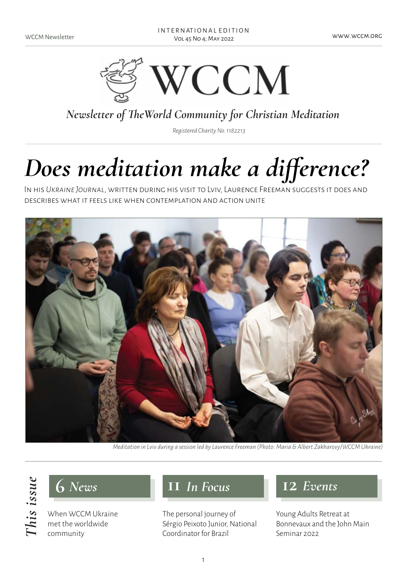

*Newsletter of TheWorld Community for Christian Meditation*

*Registered Charity No. 1182213* 

# *Does meditation make a difference?*

In his *Ukraine Journal*, written during his visit to Lviv, Laurence Freeman suggests it does and describes what it feels like when contemplation and action unite



*Meditation in Lviv during a session led by Laurence Freeman (Photo: Maria & Albert Zakharovy/WCCM Ukraine)*



**This issue of Solar Strains**<br> **The Solar Strains**<br>
The Met the worldwide met the worldwide community

### **6** *News* **11** *In Focus* **12** *Events*

The personal journey of Sérgio Peixoto Junior, National Coordinator for Brazil

Young Adults Retreat at Bonnevaux and the John Main Seminar 2022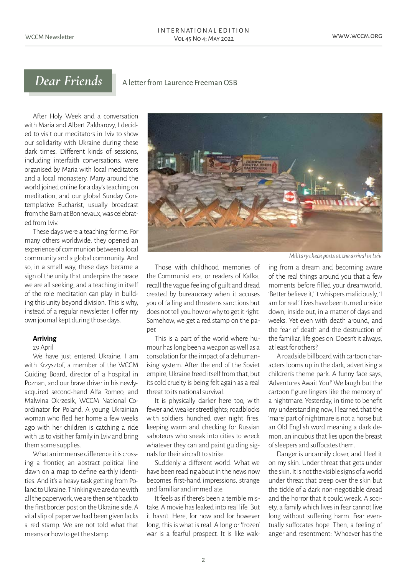### *Dear Friends* A letter from Laurence Freeman OSB

After Holy Week and a conversation with Maria and Albert Zakharovy, I decided to visit our meditators in Lviv to show our solidarity with Ukraine during these dark times. Different kinds of sessions, including interfaith conversations, were organised by Maria with local meditators and a local monastery. Many around the world joined online for a day's teaching on meditation, and our global Sunday Contemplative Eucharist, usually broadcast from the Barn at Bonnevaux, was celebrated from Lviv.

These days were a teaching for me. For many others worldwide, they opened an experience of communion between a local community and a global community. And so, in a small way, these days became a sign of the unity that underpins the peace we are all seeking, and a teaching in itself of the role meditation can play in building this unity beyond division. This is why, instead of a regular newsletter, I offer my own journal kept during those days.

#### **Arriving**

#### 29 April

We have just entered Ukraine. I am with Krzysztof, a member of the WCCM Guiding Board, director of a hospital in Poznan, and our brave driver in his newlyacquired second-hand Alfa Romeo, and Malwina Okrzesik, WCCM National Coordinator for Poland. A young Ukrainian woman who fled her home a few weeks ago with her children is catching a ride with us to visit her family in Lviv and bring them some supplies.

What an immense difference it is crossing a frontier, an abstract political line dawn on a map to define earthly identities. And it's a heavy task getting from Poland to Ukraine. Thinking we are done with all the paperwork, we are then sent back to the first border post on the Ukraine side. A vital slip of paper we had been given lacks a red stamp. We are not told what that means or how to get the stamp.



Those with childhood memories of the Communist era, or readers of Kafka, recall the vague feeling of guilt and dread created by bureaucracy when it accuses you of failing and threatens sanctions but does not tell you how or why to get it right. Somehow, we get a red stamp on the paper.

This is a part of the world where humour has long been a weapon as well as a consolation for the impact of a dehumanising system. After the end of the Soviet empire, Ukraine freed itself from that, but its cold cruelty is being felt again as a real threat to its national survival.

It is physically darker here too, with fewer and weaker streetlights; roadblocks with soldiers hunched over night fires, keeping warm and checking for Russian saboteurs who sneak into cities to wreck whatever they can and paint guiding signals for their aircraft to strike.

Suddenly a different world. What we have been reading about in the news now becomes first-hand impressions, strange and familiar and immediate.

It feels as if there's been a terrible mistake. A movie has leaked into real life. But it hasn't. Here, for now and for however long, this is what is real. A long or 'frozen' war is a fearful prospect. It is like wak-

*Military check posts at the arrival in Lviv*

ing from a dream and becoming aware of the real things around you that a few moments before filled your dreamworld. 'Better believe it,' it whispers maliciously, 'I am for real.' Lives have been turned upside down, inside out, in a matter of days and weeks. Yet even with death around, and the fear of death and the destruction of the familiar, life goes on. Doesn't it always, at least for others?

A roadside billboard with cartoon characters looms up in the dark, advertising a children's theme park. A funny face says, 'Adventures Await You!' We laugh but the cartoon figure lingers like the memory of a nightmare. Yesterday, in time to benefit my understanding now, I learned that the 'mare' part of nightmare is not a horse but an Old English word meaning a dark demon, an incubus that lies upon the breast of sleepers and suffocates them.

Danger is uncannily closer, and I feel it on my skin. Under threat that gets under the skin. It is not the visible signs of a world under threat that creep over the skin but the tickle of a dark non-negotiable dread and the horror that it could wreak. A society, a family which lives in fear cannot live long without suffering harm. Fear eventually suffocates hope. Then, a feeling of anger and resentment: 'Whoever has the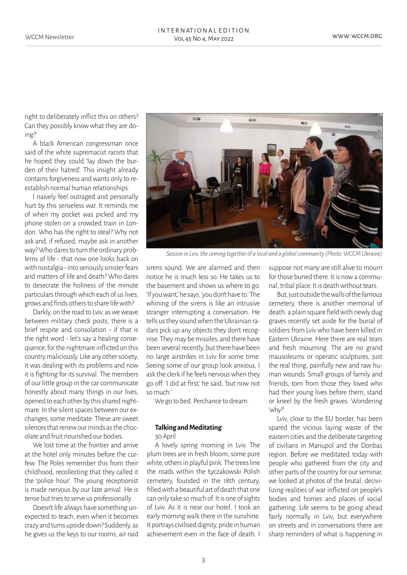right to deliberately inflict this on others? Can they possibly know what they are doing?'

A black American congressman once said of the white supremacist racists that he hoped they could 'lay down the burden of their hatred'. This insight already contains forgiveness and wants only to reestablish normal human relationships.

I naively feel outraged and personally hurt by this senseless war. It reminds me of when my pocket was picked and my phone stolen on a crowded train in London. Who has the right to steal? Why not ask and, if refused, maybe ask in another way? Who dares to turn the ordinary problems of life - that now one looks back on with nostalgia - into seriously sinister fears and matters of life and death? Who dares to desecrate the holiness of the minute particulars through which each of us lives, grows and finds others to share life with?

Darkly, on the road to Lviv, as we weave between military check posts, there is a brief respite and consolation - if that is the right word - let's say a healing consequence, for the nightmare inflicted on this country maliciously. Like any other society, it was dealing with its problems and now it is fighting for its survival. The members of our little group in the car communicate honestly about many things in our lives, opened to each other by this shared nightmare. In the silent spaces between our exchanges, some meditate. These are sweet silences that renew our minds as the chocolate and fruit nourished our bodies.

We lost time at the frontier and arrive at the hotel only minutes before the curfew. The Poles remember this from their childhood, recollecting that they called it the 'police hour'. The young receptionist is made nervous by our late arrival. He is tense but tries to serve us professionally.

Doesn't life always have something unexpected to teach, even when it becomes crazy and turns upside down? Suddenly, as he gives us the keys to our rooms, air raid



*Session in Lviv, the coming together of a local and a global community (Photo: WCCM Ukraine)*

sirens sound. We are alarmed and then notice he is much less so. He takes us to the basement and shows us where to go. 'If you want,' he says, 'you don't have to.' The whining of the sirens is like an intrusive stranger interrupting a conversation. He tells us they sound when the Ukrainian radars pick up any objects they don't recognise. They may be missiles, and there have been several recently, but there have been no large airstrikes in Lviv for some time. Seeing some of our group look anxious, I ask the clerk if he feels nervous when they go off. 'I did at first,' he said, 'but now not so much.'

We go to bed. Perchance to dream.

#### **Talking and Meditating**

30 April

A lovely spring morning in Lviv. The plum trees are in fresh bloom, some pure white, others in playful pink. The trees line the roads within the Łyczakowski Polish cemetery, founded in the 18th century, filled with a beautiful art of death that one can only take so much of. It is one of sights of Lviv. As it is near our hotel, I took an early morning walk there in the sunshine. It portrays civilised dignity, pride in human achievement even in the face of death. I

suppose not many are still alive to mourn for those buried there. It is now a communal, tribal place. It is death without tears.

But, just outside the walls of the famous cemetery, there is another memorial of death: a plain square field with newly dug graves recently set aside for the burial of soldiers from Lviv who have been killed in Eastern Ukraine. Here there are real tears and fresh mourning. The are no grand mausoleums or operatic sculptures, just the real thing, painfully new and raw human wounds. Small groups of family and friends, torn from those they loved who had their young lives before them, stand or kneel by the fresh graves. Wondering 'why?'

Lviv, close to the EU border, has been spared the vicious laying waste of the eastern cities and the deliberate targeting of civilians in Mariupol and the Donbas region. Before we meditated today with people who gathered from the city and other parts of the country for our seminar, we looked at photos of the brutal, decivilizing realities of war inflicted on people's bodies and homes and places of social gathering. Life seems to be going ahead fairly normally in Lviv, but everywhere on streets and in conversations there are sharp reminders of what is happening in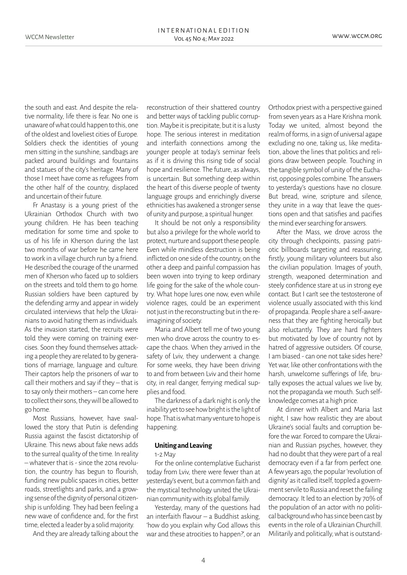the south and east. And despite the relative normality, life there is fear. No one is unaware of what could happen to this, one of the oldest and loveliest cities of Europe. Soldiers check the identities of young men sitting in the sunshine, sandbags are packed around buildings and fountains and statues of the city's heritage. Many of those I meet have come as refugees from the other half of the country, displaced and uncertain of their future.

Fr Anastasy is a young priest of the Ukrainian Orthodox Church with two young children. He has been teaching meditation for some time and spoke to us of his life in Kherson during the last two months of war before he came here to work in a village church run by a friend. He described the courage of the unarmed men of Kherson who faced up to soldiers on the streets and told them to go home. Russian soldiers have been captured by the defending army and appear in widely circulated interviews that help the Ukrainians to avoid hating them as individuals. As the invasion started, the recruits were told they were coming on training exercises. Soon they found themselves attacking a people they are related to by generations of marriage, language and culture. Their captors help the prisoners of war to call their mothers and say if they – that is to say only their mothers – can come here to collect their sons, they will be allowed to go home.

Most Russians, however, have swallowed the story that Putin is defending Russia against the fascist dictatorship of Ukraine. This news about fake news adds to the surreal quality of the time. In reality – whatever that is - since the 2014 revolution, the country has begun to flourish, funding new public spaces in cities, better roads, streetlights and parks, and a growing sense of the dignity of personal citizenship is unfolding. They had been feeling a new wave of confidence and, for the first time, elected a leader by a solid majority.

And they are already talking about the

reconstruction of their shattered country and better ways of tackling public corruption. Maybe it is precipitate, but it is a lusty hope. The serious interest in meditation and interfaith connections among the younger people at today's seminar feels as if it is driving this rising tide of social hope and resilience. The future, as always, is uncertain. But something deep within the heart of this diverse people of twenty language groups and enrichingly diverse ethnicities has awakened a stronger sense of unity and purpose, a spiritual hunger.

It should be not only a responsibility but also a privilege for the whole world to protect, nurture and support these people. Even while mindless destruction is being inflicted on one side of the country, on the other a deep and painful compassion has been woven into trying to keep ordinary life going for the sake of the whole country. What hope lures one now, even while violence rages, could be an experiment not just in the reconstructing but in the reimagining of society.

Maria and Albert tell me of two young men who drove across the country to escape the chaos. When they arrived in the safety of Lviv, they underwent a change. For some weeks, they have been driving to and from between Lviv and their home city, in real danger, ferrying medical supplies and food.

The darkness of a dark night is only the inability yet to see how bright is the light of hope. That is what many venture to hope is happening.

#### **Uniting and Leaving**

#### 1-2 May

For the online contemplative Eucharist today from Lviv, there were fewer than at yesterday's event, but a common faith and the mystical technology united the Ukrainian community with its global family.

Yesterday, many of the questions had an interfaith flavour – a Buddhist asking, 'how do you explain why God allows this war and these atrocities to happen?', or an

Orthodox priest with a perspective gained from seven years as a Hare Krishna monk. Today we united, almost beyond the realm of forms, in a sign of universal agape excluding no one, taking us, like meditation, above the lines that politics and religions draw between people. Touching in the tangible symbol of unity of the Eucharist, opposing poles combine. The answers to yesterday's questions have no closure. But bread, wine, scripture and silence, they unite in a way that leave the questions open and that satisfies and pacifies the mind ever searching for answers.

After the Mass, we drove across the city through checkpoints, passing patriotic billboards targeting and reassuring, firstly, young military volunteers but also the civilian population. Images of youth, strength, weaponed determination and steely confidence stare at us in strong eye contact. But I can't see the testosterone of violence usually associated with this kind of propaganda. People share a self-awareness that they are fighting heroically but also reluctantly. They are hard fighters but motivated by love of country not by hatred of aggressive outsiders. Of course, I am biased - can one not take sides here? Yet war, like other confrontations with the harsh, unwelcome sufferings of life, brutally exposes the actual values we live by, not the propaganda we mouth. Such selfknowledge comes at a high price.

At dinner with Albert and Maria last night, I saw how realistic they are about Ukraine's social faults and corruption before the war. Forced to compare the Ukrainian and Russian psyches, however, they had no doubt that they were part of a real democracy even if a far from perfect one. A few years ago, the popular 'revolution of dignity' as it called itself, toppled a government servile to Russia and reset the failing democracy. It led to an election by 70% of the population of an actor with no political background who has since been cast by events in the role of a Ukrainian Churchill. Militarily and politically, what is outstand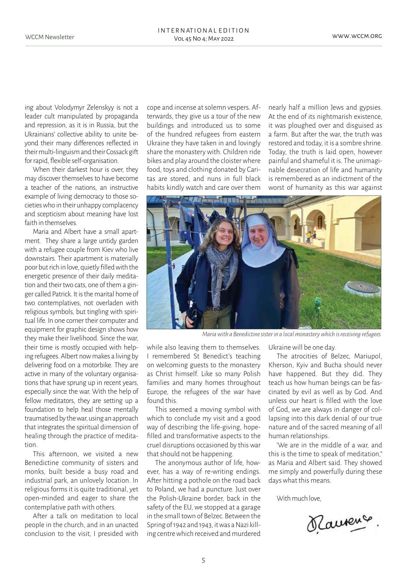ing about Volodymyr Zelenskyy is not a leader cult manipulated by propaganda and repression, as it is in Russia, but the Ukrainians' collective ability to unite beyond their many differences reflected in their multi-linguism and their Cossack gift for rapid, flexible self-organisation.

When their darkest hour is over, they may discover themselves to have become a teacher of the nations, an instructive example of living democracy to those societies who in their unhappy complacency and scepticism about meaning have lost faith in themselves.

Maria and Albert have a small apartment. They share a large untidy garden with a refugee couple from Kiev who live downstairs. Their apartment is materially poor but rich in love, quietly filled with the energetic presence of their daily meditation and their two cats, one of them a ginger called Patrick. It is the marital home of two contemplatives, not overladen with religious symbols, but tingling with spiritual life. In one corner their computer and equipment for graphic design shows how they make their livelihood. Since the war, their time is mostly occupied with helping refugees. Albert now makes a living by delivering food on a motorbike. They are active in many of the voluntary organisations that have sprung up in recent years, especially since the war. With the help of fellow meditators, they are setting up a foundation to help heal those mentally traumatised by the war, using an approach that integrates the spiritual dimension of healing through the practice of meditation.

This afternoon, we visited a new Benedictine community of sisters and monks, built beside a busy road and industrial park, an unlovely location. In religious forms it is quite traditional, yet open-minded and eager to share the contemplative path with others.

After a talk on meditation to local people in the church, and in an unacted conclusion to the visit, I presided with

cope and incense at solemn vespers. Afterwards, they give us a tour of the new buildings and introduced us to some of the hundred refugees from eastern Ukraine they have taken in and lovingly share the monastery with. Children ride bikes and play around the cloister where food, toys and clothing donated by Caritas are stored, and nuns in full black habits kindly watch and care over them

nearly half a million Jews and gypsies. At the end of its nightmarish existence, it was ploughed over and disguised as a farm. But after the war, the truth was restored and today, it is a sombre shrine. Today, the truth is laid open, however painful and shameful it is. The unimaginable desecration of life and humanity is remembered as an indictment of the worst of humanity as this war against



*Maria with a Benedictine sister in a local monastery which is receiving refugees*

while also leaving them to themselves. I remembered St Benedict's teaching on welcoming guests to the monastery as Christ himself. Like so many Polish families and many homes throughout Europe, the refugees of the war have found this.

This seemed a moving symbol with which to conclude my visit and a good way of describing the life-giving, hopefilled and transformative aspects to the cruel disruptions occasioned by this war that should not be happening.

The anonymous author of life, however, has a way of re-writing endings. After hitting a pothole on the road back to Poland, we had a puncture. Just over the Polish-Ukraine border, back in the safety of the EU, we stopped at a garage in the small town of Belzec. Between the Spring of 1942 and 1943, it was a Nazi killing centre which received and murdered

Ukraine will be one day.

The atrocities of Belzec, Mariupol, Kherson, Kyiv and Bucha should never have happened. But they did. They teach us how human beings can be fascinated by evil as well as by God. And unless our heart is filled with the love of God, we are always in danger of collapsing into this dark denial of our true nature and of the sacred meaning of all human relationships.

'We are in the middle of a war, and this is the time to speak of meditation," as Maria and Albert said. They showed me simply and powerfully during these days what this means.

With much love,

Rauvence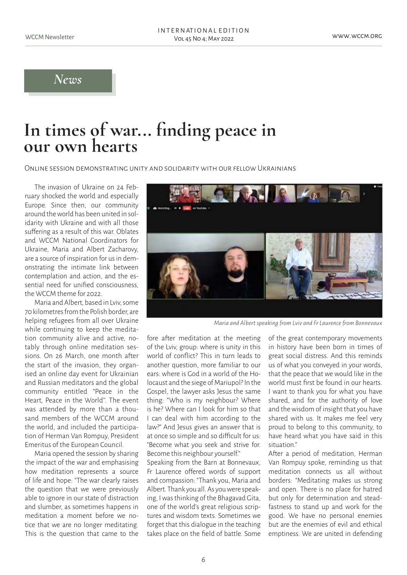#### *News*

## **In times of war... finding peace in our own hearts**

Online session demonstrating unity and solidarity with our fellow Ukrainians

The invasion of Ukraine on 24 February shocked the world and especially Europe. Since then, our community around the world has been united in solidarity with Ukraine and with all those suffering as a result of this war. Oblates and WCCM National Coordinators for Ukraine, Maria and Albert Zacharovy, are a source of inspiration for us in demonstrating the intimate link between contemplation and action, and the essential need for unified consciousness, the WCCM theme for 2022.

Maria and Albert, based in Lviv, some 70 kilometres from the Polish border, are helping refugees from all over Ukraine while continuing to keep the meditation community alive and active, notably through online meditation sessions. On 26 March, one month after the start of the invasion, they organised an online day event for Ukrainian and Russian meditators and the global community entitled "Peace in the Heart, Peace in the World''. The event was attended by more than a thousand members of the WCCM around the world, and included the participation of Herman Van Rompuy, President Emeritus of the European Council.

Maria opened the session by sharing the impact of the war and emphasising how meditation represents a source of life and hope: "The war clearly raises the question that we were previously able to ignore in our state of distraction and slumber, as sometimes happens in meditation a moment before we notice that we are no longer meditating. This is the question that came to the



*Maria and Albert speaking from Lviv and Fr Laurence from Bonnevaux* 

fore after meditation at the meeting of the Lviv, group: where is unity in this world of conflict? This in turn leads to another question, more familiar to our ears: where is God in a world of the Holocaust and the siege of Mariupol? In the Gospel, the lawyer asks Jesus the same thing: "Who is my neighbour? Where is he? Where can I look for him so that I can deal with him according to the law?" And Jesus gives an answer that is at once so simple and so difficult for us: "Become what you seek and strive for. Become this neighbour yourself."

Speaking from the Barn at Bonnevaux, Fr Laurence offered words of support and compassion: "Thank you, Maria and Albert. Thank you all. As you were speaking, I was thinking of the Bhagavad Gita, one of the world's great religious scriptures and wisdom texts. Sometimes we forget that this dialogue in the teaching takes place on the field of battle. Some of the great contemporary movements in history have been born in times of great social distress. And this reminds us of what you conveyed in your words, that the peace that we would like in the world must first be found in our hearts. I want to thank you for what you have shared, and for the authority of love and the wisdom of insight that you have shared with us. It makes me feel very proud to belong to this community, to have heard what you have said in this situation<sup>"</sup>

After a period of meditation, Herman Van Rompuy spoke, reminding us that meditation connects us all without borders: "Meditating makes us strong and open. There is no place for hatred but only for determination and steadfastness to stand up and work for the good. We have no personal enemies but are the enemies of evil and ethical emptiness. We are united in defending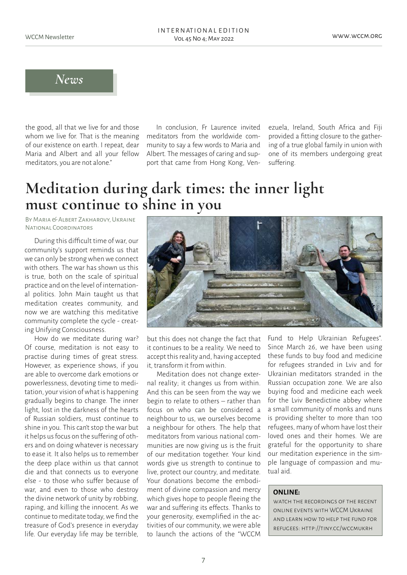#### *News*

the good, all that we live for and those whom we live for. That is the meaning of our existence on earth. I repeat, dear Maria and Albert and all your fellow meditators, you are not alone."

In conclusion, Fr Laurence invited meditators from the worldwide community to say a few words to Maria and Albert. The messages of caring and support that came from Hong Kong, Venezuela, Ireland, South Africa and Fiji provided a fitting closure to the gathering of a true global family in union with one of its members undergoing great suffering.

### **Meditation during dark times: the inner light must continue to shine in you**

By Maria & Albert Zakharovy, Ukraine National Coordinators

During this difficult time of war, our community's support reminds us that we can only be strong when we connect with others. The war has shown us this is true, both on the scale of spiritual practice and on the level of international politics. John Main taught us that meditation creates community, and now we are watching this meditative community complete the cycle - creating Unifying Consciousness.

How do we meditate during war? Of course, meditation is not easy to practise during times of great stress. However, as experience shows, if you are able to overcome dark emotions or powerlessness, devoting time to meditation, your vision of what is happening gradually begins to change. The inner light, lost in the darkness of the hearts of Russian soldiers, must continue to shine in you. This can't stop the war but it helps us focus on the suffering of others and on doing whatever is necessary to ease it. It also helps us to remember the deep place within us that cannot die and that connects us to everyone else - to those who suffer because of war, and even to those who destroy the divine network of unity by robbing, raping, and killing the innocent. As we continue to meditate today, we find the treasure of God's presence in everyday life. Our everyday life may be terrible,



but this does not change the fact that it continues to be a reality. We need to accept this reality and, having accepted it, transform it from within.

Meditation does not change external reality; it changes us from within. And this can be seen from the way we begin to relate to others – rather than focus on who can be considered a neighbour to us, we ourselves become a neighbour for others. The help that meditators from various national communities are now giving us is the fruit of our meditation together. Your kind words give us strength to continue to live, protect our country, and meditate. Your donations become the embodiment of divine compassion and mercy which gives hope to people fleeing the war and suffering its effects. Thanks to your generosity, exemplified in the activities of our community, we were able to launch the actions of the "WCCM

Fund to Help Ukrainian Refugees". Since March 26, we have been using these funds to buy food and medicine for refugees stranded in Lviv and for Ukrainian meditators stranded in the Russian occupation zone. We are also buying food and medicine each week for the Lviv Benedictine abbey where a small community of monks and nuns is providing shelter to more than 100 refugees, many of whom have lost their loved ones and their homes. We are grateful for the opportunity to share our meditation experience in the simple language of compassion and mutual aid.

#### **ONLINE:**

watch the recordings of the recent online events with WCCM Ukraine and learn how to help the fund for refugees: http://tiny.cc/wccmukrh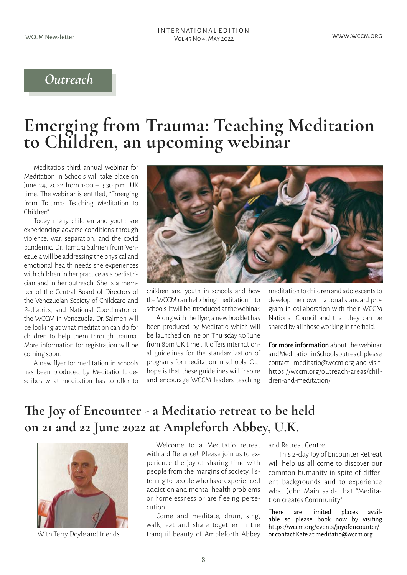### *Outreach*

### **Emerging from Trauma: Teaching Meditation to Children, an upcoming webinar**

Meditatio's third annual webinar for Meditation in Schools will take place on June 24, 2022 from 1:00 – 3:30 p.m. UK time. The webinar is entitled, "Emerging from Trauma: Teaching Meditation to Children"

Today many children and youth are experiencing adverse conditions through violence, war, separation, and the covid pandemic. Dr. Tamara Salmen from Venezuela will be addressing the physical and emotional health needs she experiences with children in her practice as a pediatrician and in her outreach. She is a member of the Central Board of Directors of the Venezuelan Society of Childcare and Pediatrics, and National Coordinator of the WCCM in Venezuela. Dr. Salmen will be looking at what meditation can do for children to help them through trauma. More information for registration will be coming soon.

A new flyer for meditation in schools has been produced by Meditatio. It describes what meditation has to offer to



children and youth in schools and how the WCCM can help bring meditation into schools. It will be introduced at the webinar.

Along with the flyer, a new booklet has been produced by Meditatio which will be launched online on Thursday 30 June from 8pm UK time . It offers international guidelines for the standardization of programs for meditation in schools. Our hope is that these guidelines will inspire and encourage WCCM leaders teaching

meditation to children and adolescents to develop their own national standard program in collaboration with their WCCM National Council and that they can be shared by all those working in the field.

For more information about the webinar and Meditation in Schools outreach please contact meditatio@wccm.org and visit: [https://wccm.org/outreach-areas/chil](https://wccm.org/outreach-areas/children-and-meditation/)[dren-and-meditation/](https://wccm.org/outreach-areas/children-and-meditation/)

### **The Joy of Encounter - a Meditatio retreat to be held on 21 and 22 June 2022 at Ampleforth Abbey, U.K.**



With Terry Doyle and friends

Welcome to a Meditatio retreat with a difference! Please join us to experience the joy of sharing time with people from the margins of society, listening to people who have experienced addiction and mental health problems or homelessness or are fleeing persecution.

Come and meditate, drum, sing, walk, eat and share together in the tranquil beauty of Ampleforth Abbey and Retreat Centre.

This 2-day Joy of Encounter Retreat will help us all come to discover our common humanity in spite of different backgrounds and to experience what John Main said- that "Meditation creates Community".

There are limited places available so please book now by visiting https://wccm.org/events/joyofencounter/ or contact Kate at meditatio@wccm.org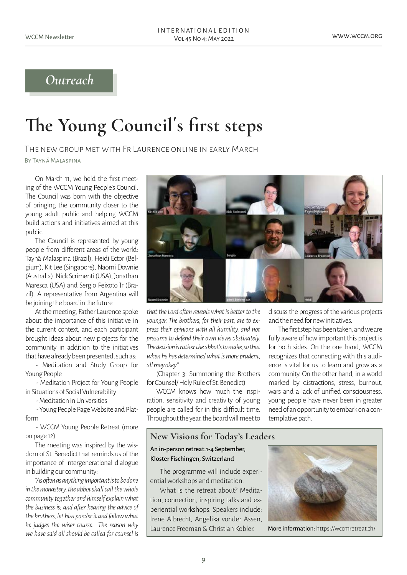### *Outreach*

## **The Young Council´s first steps**

The new group met with Fr Laurence online in early March

By Taynã Malaspina

On March 11, we held the first meeting of the WCCM Young People's Council. The Council was born with the objective of bringing the community closer to the young adult public and helping WCCM build actions and initiatives aimed at this public.

The Council is represented by young people from different areas of the world: Taynã Malaspina (Brazil), Heidi Ector (Belgium), Kit Lee (Singapore), Naomi Downie (Australia), Nick Scrimenti (USA), Jonathan Maresca (USA) and Sergio Peixoto Jr (Brazil). A representative from Argentina will be joining the board in the future.

At the meeting, Father Laurence spoke about the importance of this initiative in the current context, and each participant brought ideas about new projects for the community in addition to the initiatives that have already been presented, such as:

- Meditation and Study Group for Young People

- Meditation Project for Young People in Situations of Social Vulnerability

- Meditation in Universities

- Young People Page Website and Platform

- WCCM Young People Retreat (more on page 12)

The meeting was inspired by the wisdom of St. Benedict that reminds us of the importance of intergenerational dialogue in building our community:

*"As often as anything important is to be done in the monastery, the abbot shall call the whole community together and himself explain what the business is; and after hearing the advice of the brothers, let him ponder it and follow what he judges the wiser course. The reason why we have said all should be called for counsel is* 



*that the Lord often reveals what is better to the younger. The brothers, for their part, are to express their opinions with all humility, and not presume to defend their own views obstinately. The decision is rather the abbot's to make, so that when he has determined what is more prudent, all may obey."*

(Chapter 3: Summoning the Brothers for Counsel/ Holy Rule of St. Benedict)

WCCM knows how much the inspiration, sensitivity and creativity of young people are called for in this difficult time. Throughout the year, the board will meet to

discuss the progress of the various projects and the need for new initiatives.

The first step has been taken, and we are fully aware of how important this project is for both sides. On the one hand, WCCM recognizes that connecting with this audience is vital for us to learn and grow as a community. On the other hand, in a world marked by distractions, stress, burnout, wars and a lack of unified consciousness, young people have never been in greater need of an opportunity to embark on a contemplative path.

#### **New Visions for Today's Leaders**

#### An in-person retreat:1-4 September, Kloster Fischingen, Switzerland

The programme will include experiential workshops and meditation.

What is the retreat about? Meditation, connection, inspiring talks and experiential workshops. Speakers include: Irene Albrecht, Angelika vonder Assen, Laurence Freeman & Christian Kobler.



More information: https://wccmretreat.ch/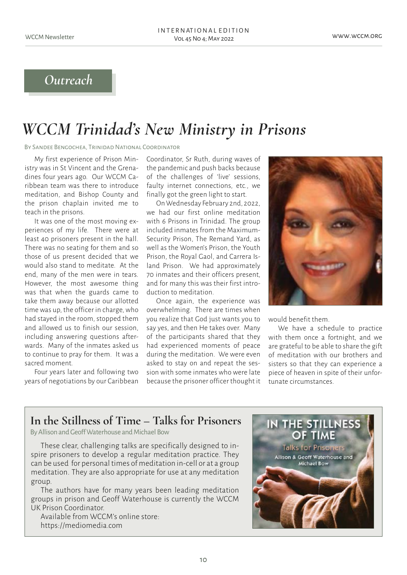### *Outreach*

### *WCCM Trinidad's New Ministry in Prisons*

By Sandee Bengochea, Trinidad National Coordinator

My first experience of Prison Ministry was in St Vincent and the Grenadines four years ago. Our WCCM Caribbean team was there to introduce meditation, and Bishop County and the prison chaplain invited me to teach in the prisons.

It was one of the most moving experiences of my life. There were at least 40 prisoners present in the hall. There was no seating for them and so those of us present decided that we would also stand to meditate. At the end, many of the men were in tears. However, the most awesome thing was that when the guards came to take them away because our allotted time was up, the officer in charge, who had stayed in the room, stopped them and allowed us to finish our session, including answering questions afterwards. Many of the inmates asked us to continue to pray for them. It was a sacred moment.

Four years later and following two years of negotiations by our Caribbean

Coordinator, Sr Ruth, during waves of the pandemic and push backs because of the challenges of 'live' sessions, faulty internet connections, etc., we finally got the green light to start.

On Wednesday February 2nd, 2022, we had our first online meditation with 6 Prisons in Trinidad. The group included inmates from the Maximum-Security Prison, The Remand Yard, as well as the Women's Prison, the Youth Prison, the Royal Gaol, and Carrera Island Prison. We had approximately 70 inmates and their officers present, and for many this was their first introduction to meditation.

Once again, the experience was overwhelming. There are times when you realize that God just wants you to say yes, and then He takes over. Many of the participants shared that they had experienced moments of peace during the meditation. We were even asked to stay on and repeat the session with some inmates who were late because the prisoner officer thought it



would benefit them.

We have a schedule to practice with them once a fortnight, and we are grateful to be able to share the gift of meditation with our brothers and sisters so that they can experience a piece of heaven in spite of their unfortunate circumstances.

### **In the Stillness of Time – Talks for Prisoners**

By Allison and Geoff Waterhouse and Michael Bow

These clear, challenging talks are specifically designed to inspire prisoners to develop a regular meditation practice. They can be used for personal times of meditation in-cell or at a group meditation. They are also appropriate for use at any meditation group.

The authors have for many years been leading meditation groups in prison and Geoff Waterhouse is currently the WCCM UK Prison Coordinator.

Available from WCCM's online store: https://mediomedia.com

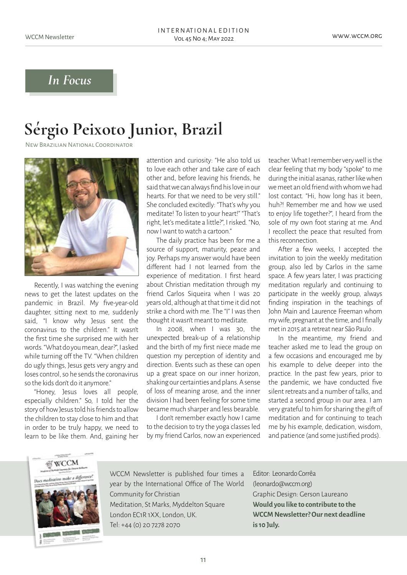### *In Focus*

## **Sérgio Peixoto Junior, Brazil**

New Brazilian National Coordinator



Recently, I was watching the evening news to get the latest updates on the pandemic in Brazil. My five-year-old daughter, sitting next to me, suddenly said, "I know why Jesus sent the coronavirus to the children." It wasn't the first time she surprised me with her words. "What do you mean, dear?", I asked while turning off the TV. "When children do ugly things, Jesus gets very angry and loses control, so he sends the coronavirus so the kids don't do it anymore."

"Honey, Jesus loves all people, especially children." So, I told her the story of how Jesus told his friends to allow the children to stay close to him and that in order to be truly happy, we need to learn to be like them. And, gaining her attention and curiosity: "He also told us to love each other and take care of each other and, before leaving his friends, he said that we can always find his love in our hearts. For that we need to be very still." She concluded excitedly: "That's why you meditate! To listen to your heart!" "That's right, let's meditate a little?" Lrisked. "No now I want to watch a cartoon."

The daily practice has been for me a source of support, maturity, peace and joy. Perhaps my answer would have been different had I not learned from the experience of meditation. I first heard about Christian meditation through my friend Carlos Siqueira when I was 20 years old, although at that time it did not strike a chord with me. The "I" I was then thought it wasn't meant to meditate.

In 2008, when I was 30, the unexpected break-up of a relationship and the birth of my first niece made me question my perception of identity and direction. Events such as these can open up a great space on our inner horizon, shaking our certainties and plans. A sense of loss of meaning arose, and the inner division I had been feeling for some time became much sharper and less bearable.

I don't remember exactly how I came to the decision to try the yoga classes led by my friend Carlos, now an experienced

teacher. What I remember very well is the clear feeling that my body "spoke" to me during the initial asanas, rather like when we meet an old friend with whom we had lost contact. "Hi, how long has it been, huh?! Remember me and how we used to enjoy life together?", I heard from the sole of my own foot staring at me. And I recollect the peace that resulted from this reconnection.

After a few weeks, I accepted the invitation to join the weekly meditation group, also led by Carlos in the same space. A few years later, I was practicing meditation regularly and continuing to participate in the weekly group, always finding inspiration in the teachings of John Main and Laurence Freeman whom my wife, pregnant at the time, and I finally met in 2015 at a retreat near São Paulo .

In the meantime, my friend and teacher asked me to lead the group on a few occasions and encouraged me by his example to delve deeper into the practice. In the past few years, prior to the pandemic, we have conducted five silent retreats and a number of talks, and started a second group in our area. I am very grateful to him for sharing the gift of meditation and for continuing to teach me by his example, dedication, wisdom, and patience (and some justified prods).



WCCM Newsletter is published four times a year by the International Office of The World Community for Christian Meditation, St Marks, Myddelton Square London EC1R 1XX, London, UK. Tel: +44 (0) 20 7278 2070

Editor: Leonardo Corrêa (leonardo@wccm.org) Graphic Design: Gerson Laureano **Would you like to contribute to the WCCM Newsletter? Our next deadline is 10 July.**